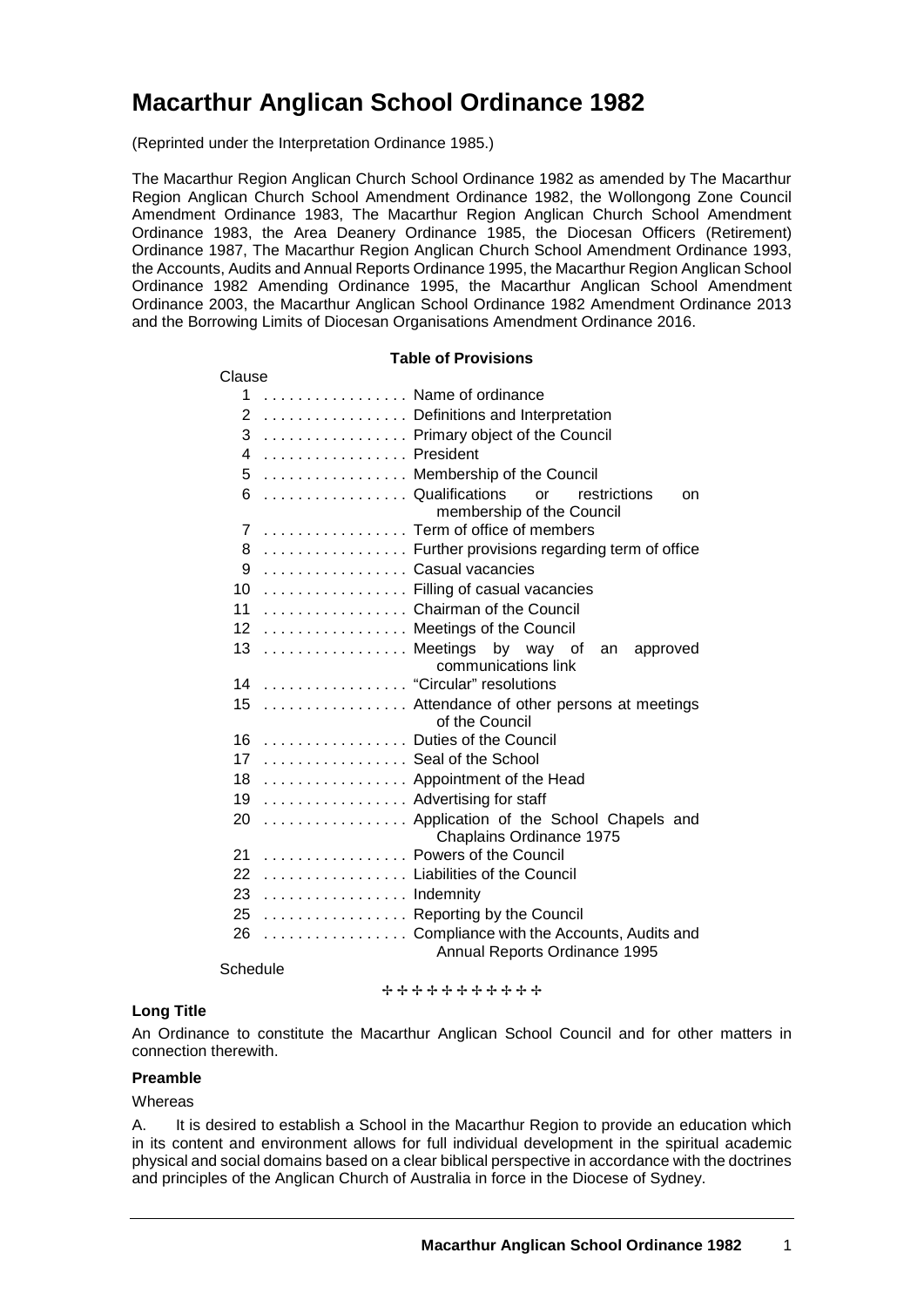# **Macarthur Anglican School Ordinance 1982**

(Reprinted under the Interpretation Ordinance 1985.)

The Macarthur Region Anglican Church School Ordinance 1982 as amended by The Macarthur Region Anglican Church School Amendment Ordinance 1982, the Wollongong Zone Council Amendment Ordinance 1983, The Macarthur Region Anglican Church School Amendment Ordinance 1983, the Area Deanery Ordinance 1985, the Diocesan Officers (Retirement) Ordinance 1987, The Macarthur Region Anglican Church School Amendment Ordinance 1993, the Accounts, Audits and Annual Reports Ordinance 1995, the Macarthur Region Anglican School Ordinance 1982 Amending Ordinance 1995, the Macarthur Anglican School Amendment Ordinance 2003, the Macarthur Anglican School Ordinance 1982 Amendment Ordinance 2013 and the Borrowing Limits of Diocesan Organisations Amendment Ordinance 2016.

#### **Table of Provisions**

| Clause                                                                       |
|------------------------------------------------------------------------------|
| Name of ordinance<br>1                                                       |
| 2<br>Definitions and Interpretation                                          |
| 3<br>Primary object of the Council                                           |
| 4  President                                                                 |
| 5  Membership of the Council                                                 |
| Qualifications<br>6<br>restrictions<br>or<br>on<br>membership of the Council |
| Term of office of members<br>$\overline{7}$                                  |
| 8  Further provisions regarding term of office                               |
| Casual vacancies<br>9                                                        |
| 10  Filling of casual vacancies                                              |
| Chairman of the Council<br>11                                                |
| 12  Meetings of the Council                                                  |
| 13  Meetings<br>by way of<br>an<br>approved                                  |
| communications link                                                          |
| 14 "Circular" resolutions                                                    |
| 15<br>Attendance of other persons at meetings<br>of the Council              |
| 16  Duties of the Council                                                    |
| 17  Seal of the School                                                       |
| 18  Appointment of the Head                                                  |
| 19 Advertising for staff                                                     |
| 20  Application of the School Chapels and<br>Chaplains Ordinance 1975        |
| Powers of the Council<br>21                                                  |
| 22  Liabilities of the Council                                               |
| 23 Indemnity                                                                 |
| 25  Reporting by the Council                                                 |
| Compliance with the Accounts, Audits and<br>26                               |
| Annual Reports Ordinance 1995                                                |

**Schedule** 

+++++++++++

#### **Long Title**

An Ordinance to constitute the Macarthur Anglican School Council and for other matters in connection therewith.

### **Preamble**

#### **Whereas**

A. It is desired to establish a School in the Macarthur Region to provide an education which in its content and environment allows for full individual development in the spiritual academic physical and social domains based on a clear biblical perspective in accordance with the doctrines and principles of the Anglican Church of Australia in force in the Diocese of Sydney.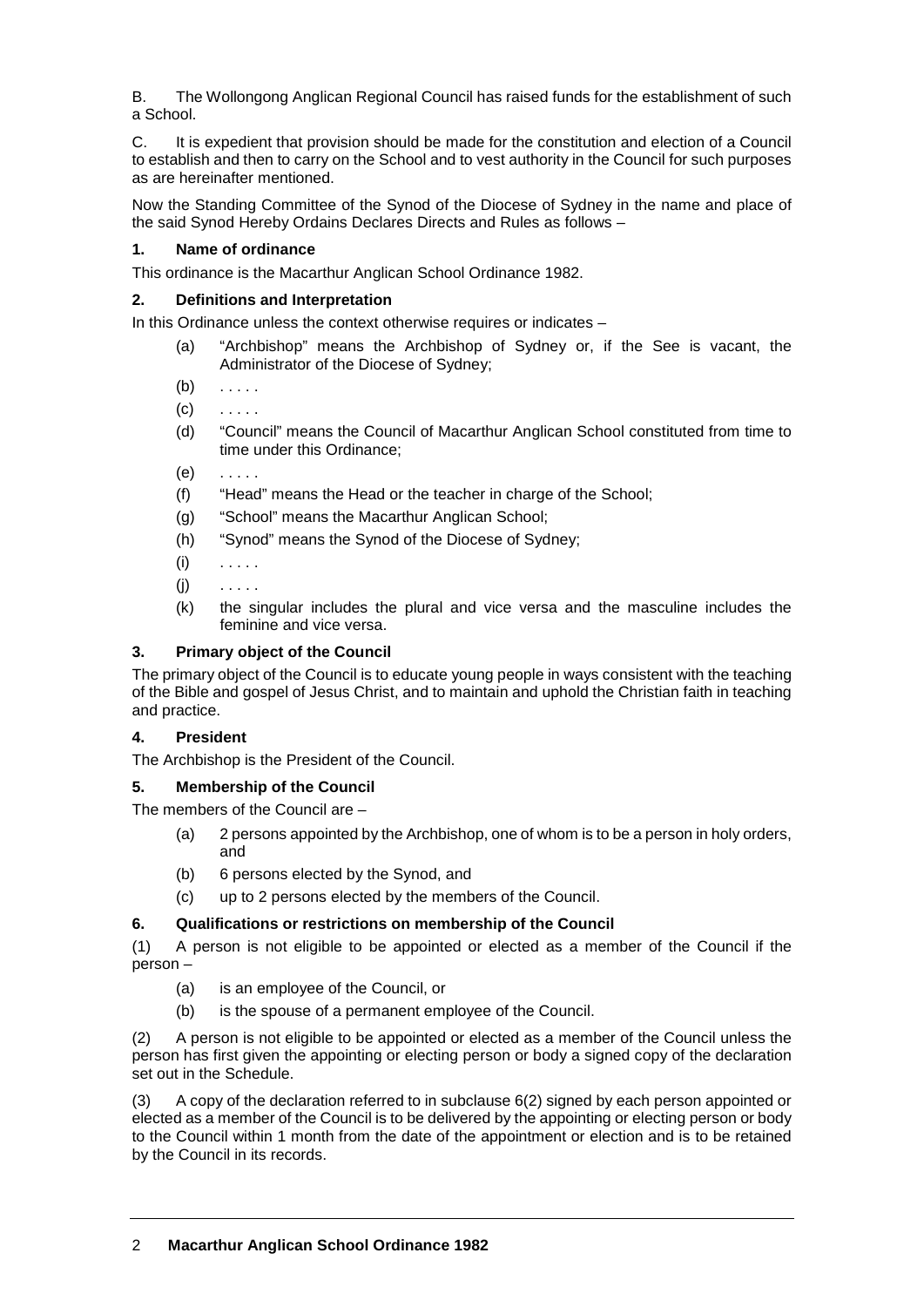B. The Wollongong Anglican Regional Council has raised funds for the establishment of such a School.

C. It is expedient that provision should be made for the constitution and election of a Council to establish and then to carry on the School and to vest authority in the Council for such purposes as are hereinafter mentioned.

Now the Standing Committee of the Synod of the Diocese of Sydney in the name and place of the said Synod Hereby Ordains Declares Directs and Rules as follows –

## **1. Name of ordinance**

This ordinance is the Macarthur Anglican School Ordinance 1982.

# **2. Definitions and Interpretation**

In this Ordinance unless the context otherwise requires or indicates –

- (a) "Archbishop" means the Archbishop of Sydney or, if the See is vacant, the Administrator of the Diocese of Sydney;
- $(b)$  . . . . .
- $(c)$  . . . . .
- (d) "Council" means the Council of Macarthur Anglican School constituted from time to time under this Ordinance;
- $(e)$  . . . . .
- (f) "Head" means the Head or the teacher in charge of the School;
- (g) "School" means the Macarthur Anglican School;
- (h) "Synod" means the Synod of the Diocese of Sydney;
- $(i)$  . . . . .
- $(i)$  . . . . .
- (k) the singular includes the plural and vice versa and the masculine includes the feminine and vice versa.

## **3. Primary object of the Council**

The primary object of the Council is to educate young people in ways consistent with the teaching of the Bible and gospel of Jesus Christ, and to maintain and uphold the Christian faith in teaching and practice.

## **4. President**

The Archbishop is the President of the Council.

# **5. Membership of the Council**

The members of the Council are –

- (a) 2 persons appointed by the Archbishop, one of whom is to be a person in holy orders, and
- (b) 6 persons elected by the Synod, and
- (c) up to 2 persons elected by the members of the Council.

# **6. Qualifications or restrictions on membership of the Council**

(1) A person is not eligible to be appointed or elected as a member of the Council if the person –

- (a) is an employee of the Council, or
- (b) is the spouse of a permanent employee of the Council.

(2) A person is not eligible to be appointed or elected as a member of the Council unless the person has first given the appointing or electing person or body a signed copy of the declaration set out in the Schedule.

(3) A copy of the declaration referred to in subclause 6(2) signed by each person appointed or elected as a member of the Council is to be delivered by the appointing or electing person or body to the Council within 1 month from the date of the appointment or election and is to be retained by the Council in its records.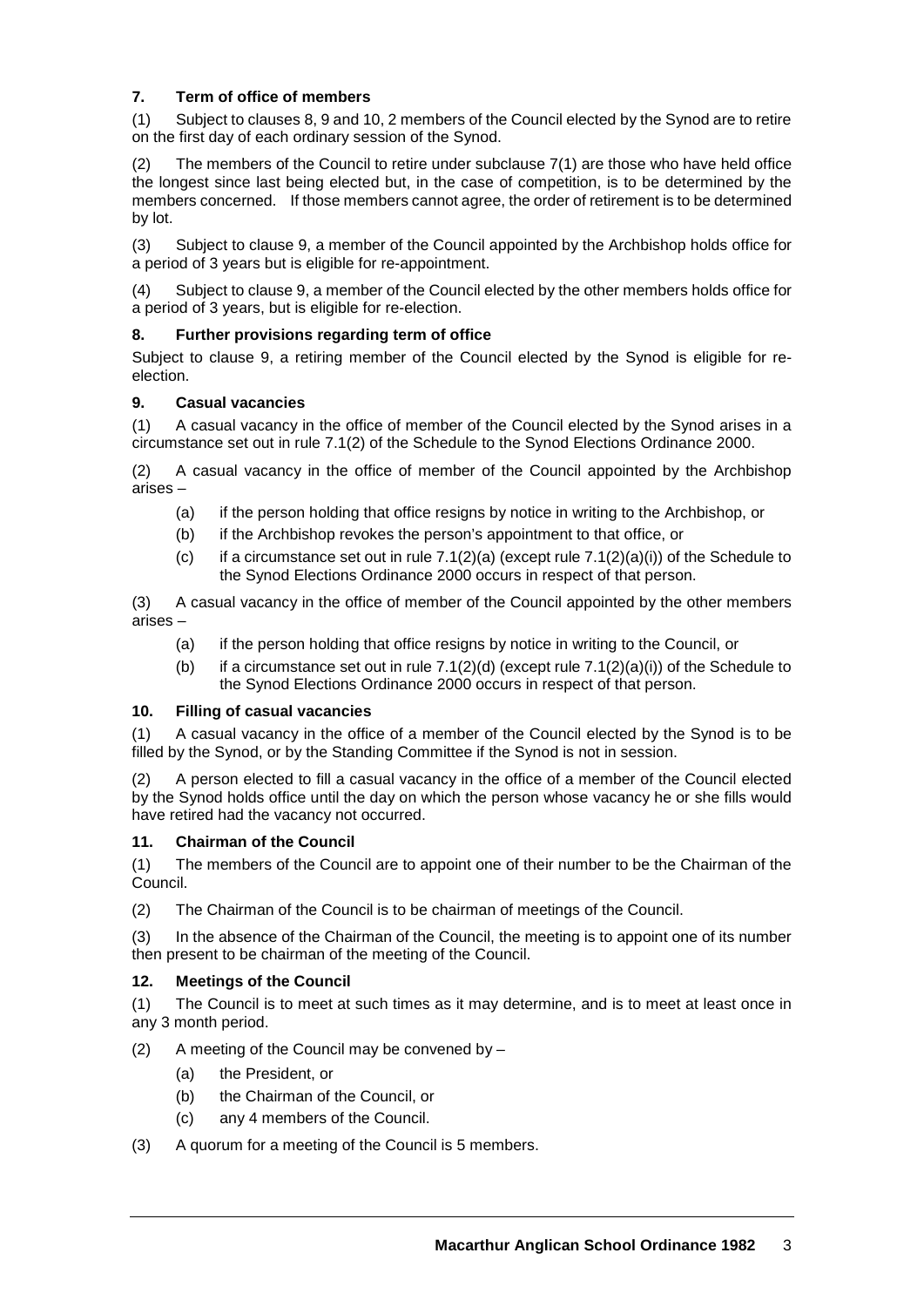# **7. Term of office of members**

(1) Subject to clauses 8, 9 and 10, 2 members of the Council elected by the Synod are to retire on the first day of each ordinary session of the Synod.

The members of the Council to retire under subclause  $7(1)$  are those who have held office the longest since last being elected but, in the case of competition, is to be determined by the members concerned. If those members cannot agree, the order of retirement is to be determined by lot.

(3) Subject to clause 9, a member of the Council appointed by the Archbishop holds office for a period of 3 years but is eligible for re-appointment.

(4) Subject to clause 9, a member of the Council elected by the other members holds office for a period of 3 years, but is eligible for re-election.

# **8. Further provisions regarding term of office**

Subject to clause 9, a retiring member of the Council elected by the Synod is eligible for reelection.

# **9. Casual vacancies**

(1) A casual vacancy in the office of member of the Council elected by the Synod arises in a circumstance set out in rule 7.1(2) of the Schedule to the Synod Elections Ordinance 2000.

(2) A casual vacancy in the office of member of the Council appointed by the Archbishop arises –

- (a) if the person holding that office resigns by notice in writing to the Archbishop, or
- (b) if the Archbishop revokes the person's appointment to that office, or
- (c) if a circumstance set out in rule  $7.1(2)(a)$  (except rule  $7.1(2)(a)(i)$ ) of the Schedule to the Synod Elections Ordinance 2000 occurs in respect of that person.

(3) A casual vacancy in the office of member of the Council appointed by the other members arises –

- (a) if the person holding that office resigns by notice in writing to the Council, or
- (b) if a circumstance set out in rule  $7.1(2)(d)$  (except rule  $7.1(2)(a)(i)$ ) of the Schedule to the Synod Elections Ordinance 2000 occurs in respect of that person.

## **10. Filling of casual vacancies**

(1) A casual vacancy in the office of a member of the Council elected by the Synod is to be filled by the Synod, or by the Standing Committee if the Synod is not in session.

(2) A person elected to fill a casual vacancy in the office of a member of the Council elected by the Synod holds office until the day on which the person whose vacancy he or she fills would have retired had the vacancy not occurred.

## **11. Chairman of the Council**

(1) The members of the Council are to appoint one of their number to be the Chairman of the Council.

(2) The Chairman of the Council is to be chairman of meetings of the Council.

(3) In the absence of the Chairman of the Council, the meeting is to appoint one of its number then present to be chairman of the meeting of the Council.

## **12. Meetings of the Council**

(1) The Council is to meet at such times as it may determine, and is to meet at least once in any 3 month period.

- (2) A meeting of the Council may be convened by  $-$ 
	- (a) the President, or
	- (b) the Chairman of the Council, or
	- (c) any 4 members of the Council.
- (3) A quorum for a meeting of the Council is 5 members.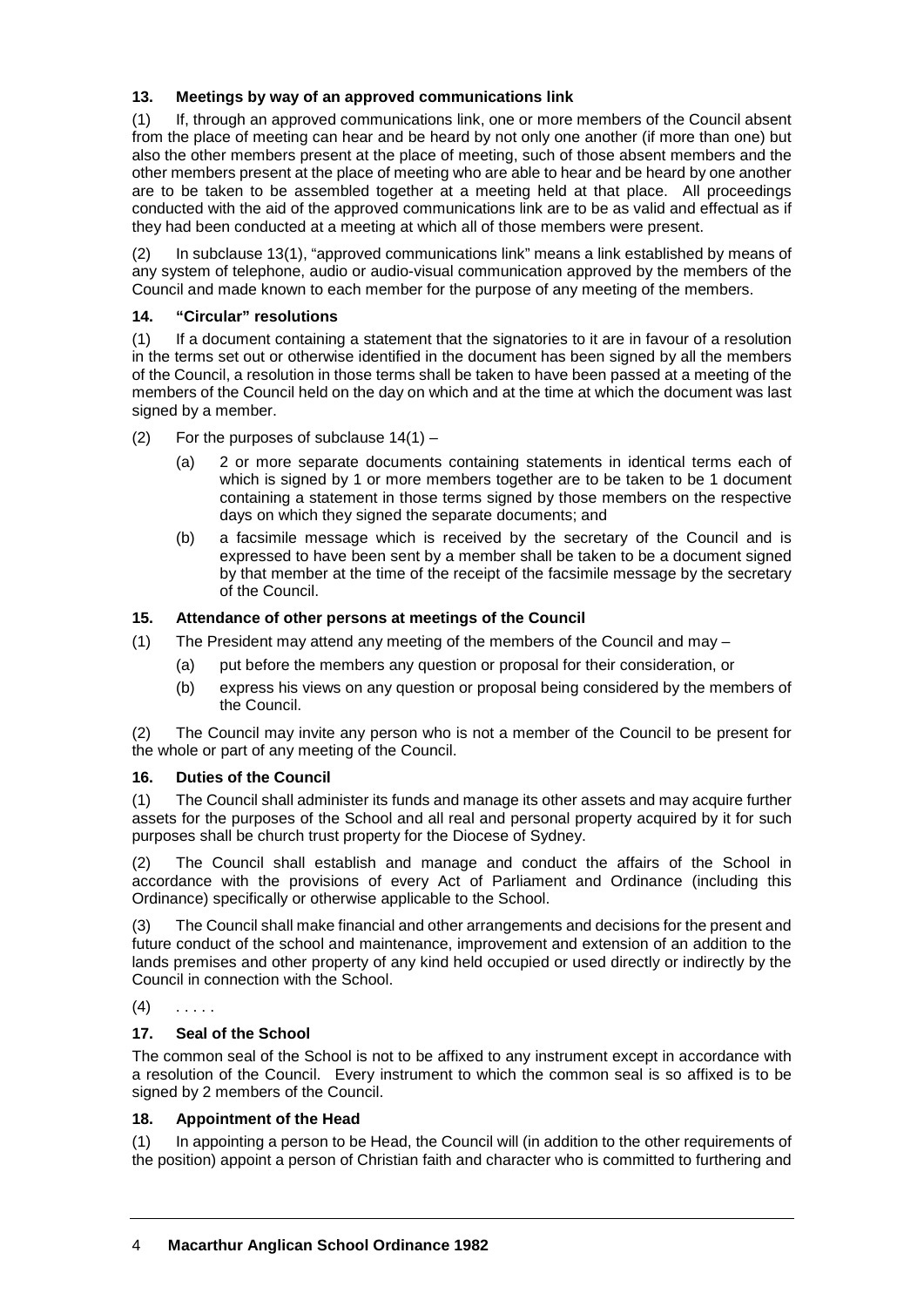# **13. Meetings by way of an approved communications link**

(1) If, through an approved communications link, one or more members of the Council absent from the place of meeting can hear and be heard by not only one another (if more than one) but also the other members present at the place of meeting, such of those absent members and the other members present at the place of meeting who are able to hear and be heard by one another are to be taken to be assembled together at a meeting held at that place. All proceedings conducted with the aid of the approved communications link are to be as valid and effectual as if they had been conducted at a meeting at which all of those members were present.

(2) In subclause 13(1), "approved communications link" means a link established by means of any system of telephone, audio or audio-visual communication approved by the members of the Council and made known to each member for the purpose of any meeting of the members.

## **14. "Circular" resolutions**

(1) If a document containing a statement that the signatories to it are in favour of a resolution in the terms set out or otherwise identified in the document has been signed by all the members of the Council, a resolution in those terms shall be taken to have been passed at a meeting of the members of the Council held on the day on which and at the time at which the document was last signed by a member.

- (2) For the purposes of subclause  $14(1)$ 
	- (a) 2 or more separate documents containing statements in identical terms each of which is signed by 1 or more members together are to be taken to be 1 document containing a statement in those terms signed by those members on the respective days on which they signed the separate documents; and
	- (b) a facsimile message which is received by the secretary of the Council and is expressed to have been sent by a member shall be taken to be a document signed by that member at the time of the receipt of the facsimile message by the secretary of the Council.

## **15. Attendance of other persons at meetings of the Council**

- (1) The President may attend any meeting of the members of the Council and may
	- (a) put before the members any question or proposal for their consideration, or
	- (b) express his views on any question or proposal being considered by the members of the Council.

(2) The Council may invite any person who is not a member of the Council to be present for the whole or part of any meeting of the Council.

## **16. Duties of the Council**

(1) The Council shall administer its funds and manage its other assets and may acquire further assets for the purposes of the School and all real and personal property acquired by it for such purposes shall be church trust property for the Diocese of Sydney.

(2) The Council shall establish and manage and conduct the affairs of the School in accordance with the provisions of every Act of Parliament and Ordinance (including this Ordinance) specifically or otherwise applicable to the School.

(3) The Council shall make financial and other arrangements and decisions for the present and future conduct of the school and maintenance, improvement and extension of an addition to the lands premises and other property of any kind held occupied or used directly or indirectly by the Council in connection with the School.

## $(4)$  . . . . .

## **17. Seal of the School**

The common seal of the School is not to be affixed to any instrument except in accordance with a resolution of the Council. Every instrument to which the common seal is so affixed is to be signed by 2 members of the Council.

## **18. Appointment of the Head**

(1) In appointing a person to be Head, the Council will (in addition to the other requirements of the position) appoint a person of Christian faith and character who is committed to furthering and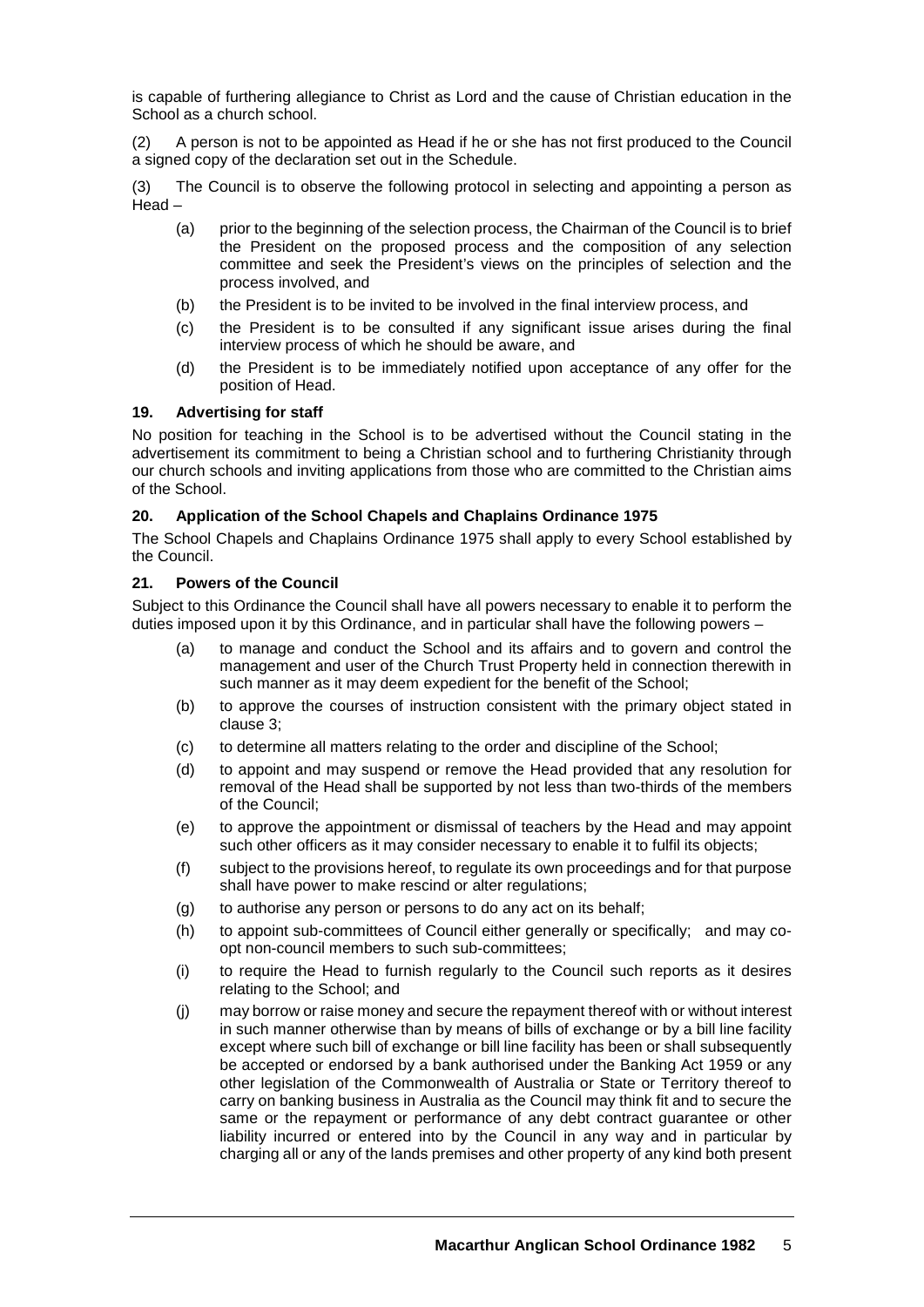is capable of furthering allegiance to Christ as Lord and the cause of Christian education in the School as a church school.

(2) A person is not to be appointed as Head if he or she has not first produced to the Council a signed copy of the declaration set out in the Schedule.

(3) The Council is to observe the following protocol in selecting and appointing a person as Head –

- (a) prior to the beginning of the selection process, the Chairman of the Council is to brief the President on the proposed process and the composition of any selection committee and seek the President's views on the principles of selection and the process involved, and
- (b) the President is to be invited to be involved in the final interview process, and
- (c) the President is to be consulted if any significant issue arises during the final interview process of which he should be aware, and
- (d) the President is to be immediately notified upon acceptance of any offer for the position of Head.

## **19. Advertising for staff**

No position for teaching in the School is to be advertised without the Council stating in the advertisement its commitment to being a Christian school and to furthering Christianity through our church schools and inviting applications from those who are committed to the Christian aims of the School.

#### **20. Application of the School Chapels and Chaplains Ordinance 1975**

The School Chapels and Chaplains Ordinance 1975 shall apply to every School established by the Council.

#### **21. Powers of the Council**

Subject to this Ordinance the Council shall have all powers necessary to enable it to perform the duties imposed upon it by this Ordinance, and in particular shall have the following powers –

- (a) to manage and conduct the School and its affairs and to govern and control the management and user of the Church Trust Property held in connection therewith in such manner as it may deem expedient for the benefit of the School;
- (b) to approve the courses of instruction consistent with the primary object stated in clause 3;
- (c) to determine all matters relating to the order and discipline of the School;
- (d) to appoint and may suspend or remove the Head provided that any resolution for removal of the Head shall be supported by not less than two-thirds of the members of the Council;
- (e) to approve the appointment or dismissal of teachers by the Head and may appoint such other officers as it may consider necessary to enable it to fulfil its objects;
- (f) subject to the provisions hereof, to regulate its own proceedings and for that purpose shall have power to make rescind or alter regulations;
- (g) to authorise any person or persons to do any act on its behalf;
- (h) to appoint sub-committees of Council either generally or specifically; and may coopt non-council members to such sub-committees;
- (i) to require the Head to furnish regularly to the Council such reports as it desires relating to the School; and
- (j) may borrow or raise money and secure the repayment thereof with or without interest in such manner otherwise than by means of bills of exchange or by a bill line facility except where such bill of exchange or bill line facility has been or shall subsequently be accepted or endorsed by a bank authorised under the Banking Act 1959 or any other legislation of the Commonwealth of Australia or State or Territory thereof to carry on banking business in Australia as the Council may think fit and to secure the same or the repayment or performance of any debt contract guarantee or other liability incurred or entered into by the Council in any way and in particular by charging all or any of the lands premises and other property of any kind both present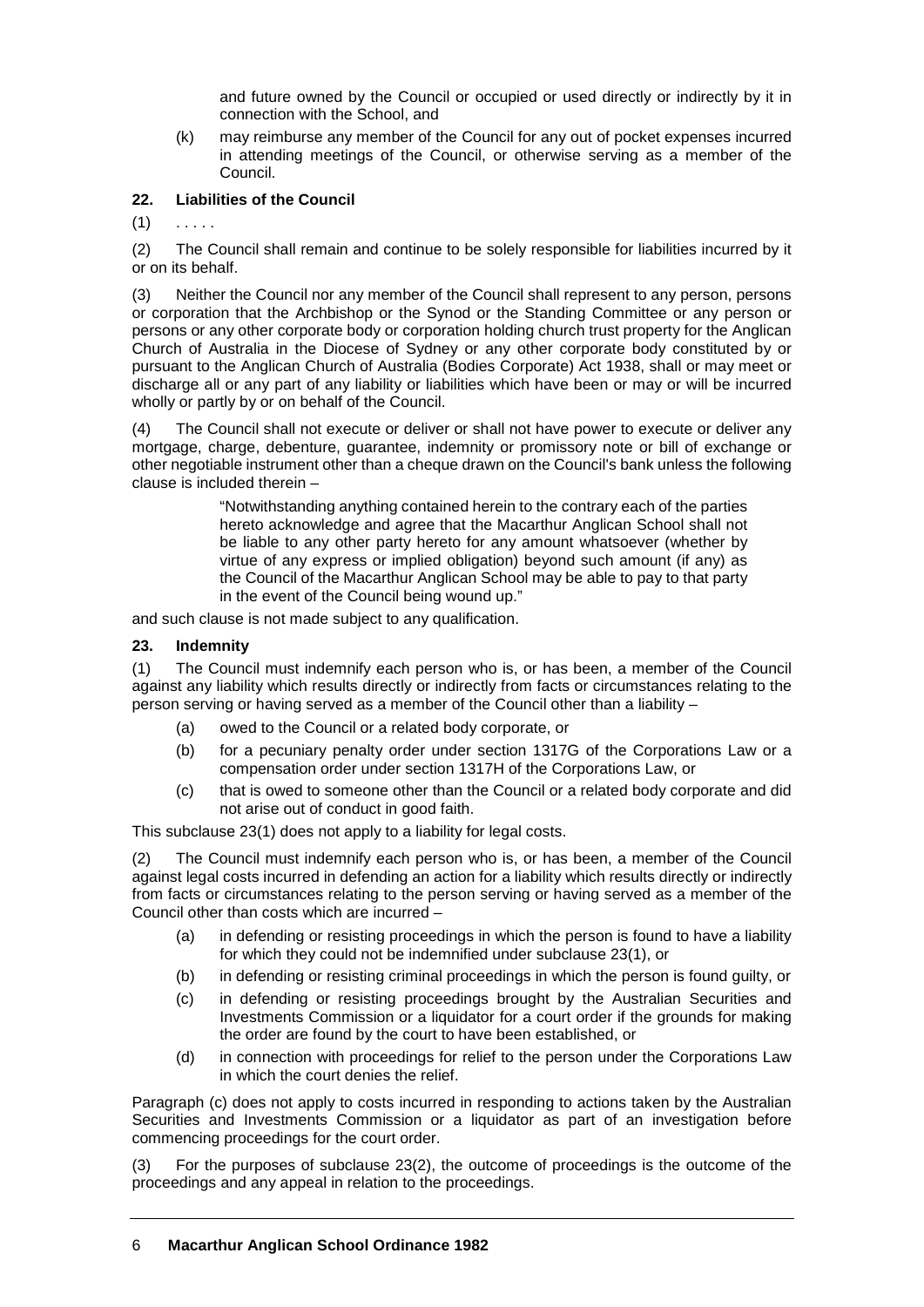and future owned by the Council or occupied or used directly or indirectly by it in connection with the School, and

(k) may reimburse any member of the Council for any out of pocket expenses incurred in attending meetings of the Council, or otherwise serving as a member of the Council.

# **22. Liabilities of the Council**

 $(1)$ 

(2) The Council shall remain and continue to be solely responsible for liabilities incurred by it or on its behalf.

(3) Neither the Council nor any member of the Council shall represent to any person, persons or corporation that the Archbishop or the Synod or the Standing Committee or any person or persons or any other corporate body or corporation holding church trust property for the Anglican Church of Australia in the Diocese of Sydney or any other corporate body constituted by or pursuant to the Anglican Church of Australia (Bodies Corporate) Act 1938, shall or may meet or discharge all or any part of any liability or liabilities which have been or may or will be incurred wholly or partly by or on behalf of the Council.

(4) The Council shall not execute or deliver or shall not have power to execute or deliver any mortgage, charge, debenture, guarantee, indemnity or promissory note or bill of exchange or other negotiable instrument other than a cheque drawn on the Council's bank unless the following clause is included therein –

> "Notwithstanding anything contained herein to the contrary each of the parties hereto acknowledge and agree that the Macarthur Anglican School shall not be liable to any other party hereto for any amount whatsoever (whether by virtue of any express or implied obligation) beyond such amount (if any) as the Council of the Macarthur Anglican School may be able to pay to that party in the event of the Council being wound up."

and such clause is not made subject to any qualification.

#### **23. Indemnity**

(1) The Council must indemnify each person who is, or has been, a member of the Council against any liability which results directly or indirectly from facts or circumstances relating to the person serving or having served as a member of the Council other than a liability –

- (a) owed to the Council or a related body corporate, or
- (b) for a pecuniary penalty order under section 1317G of the Corporations Law or a compensation order under section 1317H of the Corporations Law, or
- (c) that is owed to someone other than the Council or a related body corporate and did not arise out of conduct in good faith.

This subclause 23(1) does not apply to a liability for legal costs.

(2) The Council must indemnify each person who is, or has been, a member of the Council against legal costs incurred in defending an action for a liability which results directly or indirectly from facts or circumstances relating to the person serving or having served as a member of the Council other than costs which are incurred –

- (a) in defending or resisting proceedings in which the person is found to have a liability for which they could not be indemnified under subclause 23(1), or
- (b) in defending or resisting criminal proceedings in which the person is found guilty, or
- (c) in defending or resisting proceedings brought by the Australian Securities and Investments Commission or a liquidator for a court order if the grounds for making the order are found by the court to have been established, or
- (d) in connection with proceedings for relief to the person under the Corporations Law in which the court denies the relief.

Paragraph (c) does not apply to costs incurred in responding to actions taken by the Australian Securities and Investments Commission or a liquidator as part of an investigation before commencing proceedings for the court order.

(3) For the purposes of subclause 23(2), the outcome of proceedings is the outcome of the proceedings and any appeal in relation to the proceedings.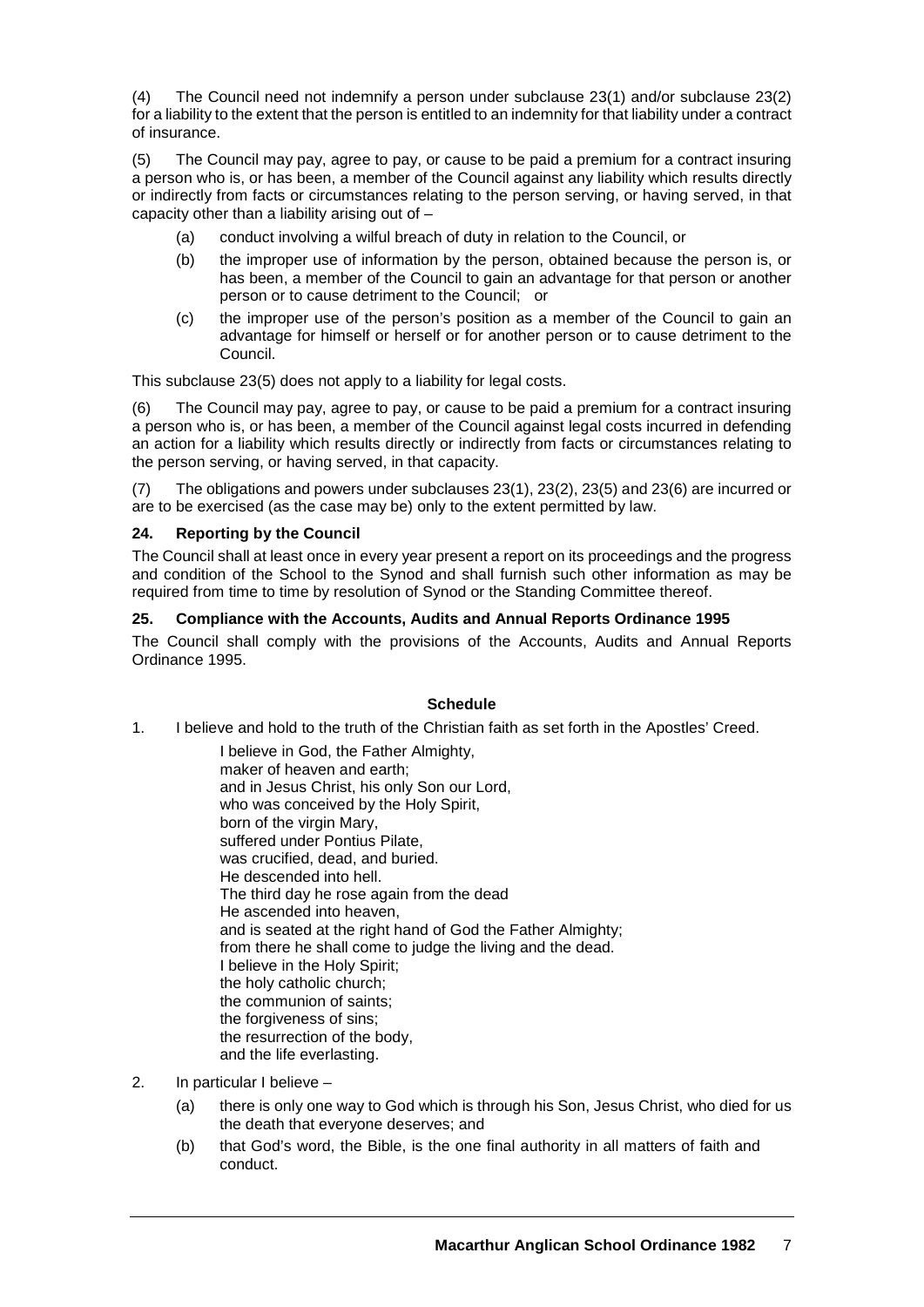(4) The Council need not indemnify a person under subclause 23(1) and/or subclause 23(2) for a liability to the extent that the person is entitled to an indemnity for that liability under a contract of insurance.

(5) The Council may pay, agree to pay, or cause to be paid a premium for a contract insuring a person who is, or has been, a member of the Council against any liability which results directly or indirectly from facts or circumstances relating to the person serving, or having served, in that capacity other than a liability arising out of –

- (a) conduct involving a wilful breach of duty in relation to the Council, or
- (b) the improper use of information by the person, obtained because the person is, or has been, a member of the Council to gain an advantage for that person or another person or to cause detriment to the Council; or
- (c) the improper use of the person's position as a member of the Council to gain an advantage for himself or herself or for another person or to cause detriment to the Council.

This subclause 23(5) does not apply to a liability for legal costs.

The Council may pay, agree to pay, or cause to be paid a premium for a contract insuring a person who is, or has been, a member of the Council against legal costs incurred in defending an action for a liability which results directly or indirectly from facts or circumstances relating to the person serving, or having served, in that capacity.

(7) The obligations and powers under subclauses 23(1), 23(2), 23(5) and 23(6) are incurred or are to be exercised (as the case may be) only to the extent permitted by law.

## **24. Reporting by the Council**

The Council shall at least once in every year present a report on its proceedings and the progress and condition of the School to the Synod and shall furnish such other information as may be required from time to time by resolution of Synod or the Standing Committee thereof.

## **25. Compliance with the Accounts, Audits and Annual Reports Ordinance 1995**

The Council shall comply with the provisions of the Accounts, Audits and Annual Reports Ordinance 1995.

## **Schedule**

1. I believe and hold to the truth of the Christian faith as set forth in the Apostles' Creed.

I believe in God, the Father Almighty, maker of heaven and earth; and in Jesus Christ, his only Son our Lord, who was conceived by the Holy Spirit, born of the virgin Mary, suffered under Pontius Pilate, was crucified, dead, and buried. He descended into hell. The third day he rose again from the dead He ascended into heaven, and is seated at the right hand of God the Father Almighty; from there he shall come to judge the living and the dead. I believe in the Holy Spirit; the holy catholic church; the communion of saints; the forgiveness of sins; the resurrection of the body, and the life everlasting.

- 2. In particular I believe
	- (a) there is only one way to God which is through his Son, Jesus Christ, who died for us the death that everyone deserves; and
	- (b) that God's word, the Bible, is the one final authority in all matters of faith and conduct.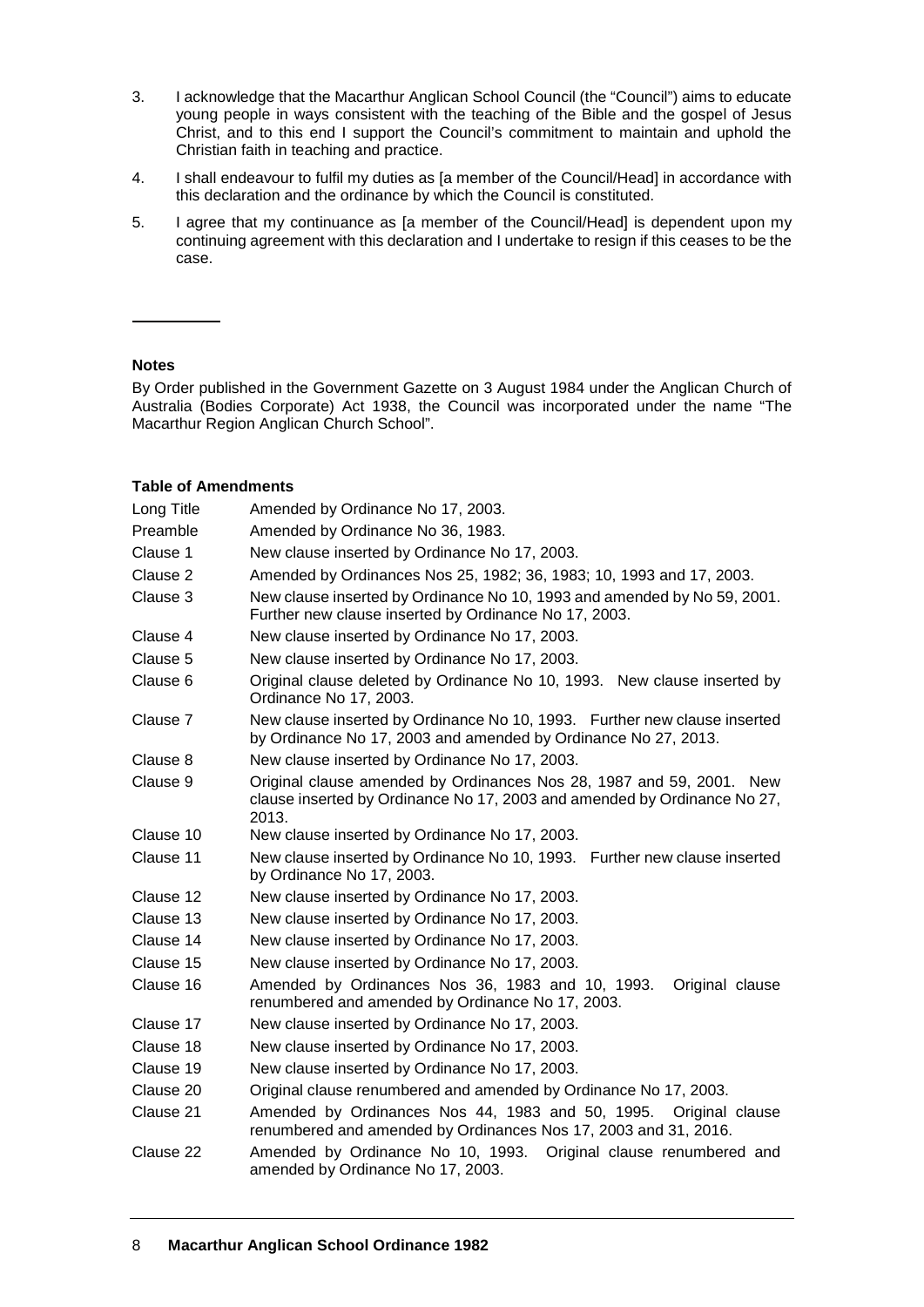- 3. I acknowledge that the Macarthur Anglican School Council (the "Council") aims to educate young people in ways consistent with the teaching of the Bible and the gospel of Jesus Christ, and to this end I support the Council's commitment to maintain and uphold the Christian faith in teaching and practice.
- 4. I shall endeavour to fulfil my duties as [a member of the Council/Head] in accordance with this declaration and the ordinance by which the Council is constituted.
- 5. I agree that my continuance as [a member of the Council/Head] is dependent upon my continuing agreement with this declaration and I undertake to resign if this ceases to be the case.

#### **Notes**

By Order published in the Government Gazette on 3 August 1984 under the Anglican Church of Australia (Bodies Corporate) Act 1938, the Council was incorporated under the name "The Macarthur Region Anglican Church School".

#### **Table of Amendments**

| Long Title | Amended by Ordinance No 17, 2003.                                                                                                                         |
|------------|-----------------------------------------------------------------------------------------------------------------------------------------------------------|
| Preamble   | Amended by Ordinance No 36, 1983.                                                                                                                         |
| Clause 1   | New clause inserted by Ordinance No 17, 2003.                                                                                                             |
| Clause 2   | Amended by Ordinances Nos 25, 1982; 36, 1983; 10, 1993 and 17, 2003.                                                                                      |
| Clause 3   | New clause inserted by Ordinance No 10, 1993 and amended by No 59, 2001.<br>Further new clause inserted by Ordinance No 17, 2003.                         |
| Clause 4   | New clause inserted by Ordinance No 17, 2003.                                                                                                             |
| Clause 5   | New clause inserted by Ordinance No 17, 2003.                                                                                                             |
| Clause 6   | Original clause deleted by Ordinance No 10, 1993. New clause inserted by<br>Ordinance No 17, 2003.                                                        |
| Clause 7   | New clause inserted by Ordinance No 10, 1993. Further new clause inserted<br>by Ordinance No 17, 2003 and amended by Ordinance No 27, 2013.               |
| Clause 8   | New clause inserted by Ordinance No 17, 2003.                                                                                                             |
| Clause 9   | Original clause amended by Ordinances Nos 28, 1987 and 59, 2001. New<br>clause inserted by Ordinance No 17, 2003 and amended by Ordinance No 27,<br>2013. |
| Clause 10  | New clause inserted by Ordinance No 17, 2003.                                                                                                             |
| Clause 11  | New clause inserted by Ordinance No 10, 1993. Further new clause inserted<br>by Ordinance No 17, 2003.                                                    |
| Clause 12  | New clause inserted by Ordinance No 17, 2003.                                                                                                             |
| Clause 13  | New clause inserted by Ordinance No 17, 2003.                                                                                                             |
| Clause 14  | New clause inserted by Ordinance No 17, 2003.                                                                                                             |
| Clause 15  | New clause inserted by Ordinance No 17, 2003.                                                                                                             |
| Clause 16  | Amended by Ordinances Nos 36, 1983 and 10, 1993.<br>Original clause<br>renumbered and amended by Ordinance No 17, 2003.                                   |
| Clause 17  | New clause inserted by Ordinance No 17, 2003.                                                                                                             |
| Clause 18  | New clause inserted by Ordinance No 17, 2003.                                                                                                             |
| Clause 19  | New clause inserted by Ordinance No 17, 2003.                                                                                                             |
| Clause 20  | Original clause renumbered and amended by Ordinance No 17, 2003.                                                                                          |
| Clause 21  | Amended by Ordinances Nos 44, 1983 and 50, 1995.<br>Original clause<br>renumbered and amended by Ordinances Nos 17, 2003 and 31, 2016.                    |
| Clause 22  | Amended by Ordinance No 10, 1993. Original clause renumbered and<br>amended by Ordinance No 17, 2003.                                                     |